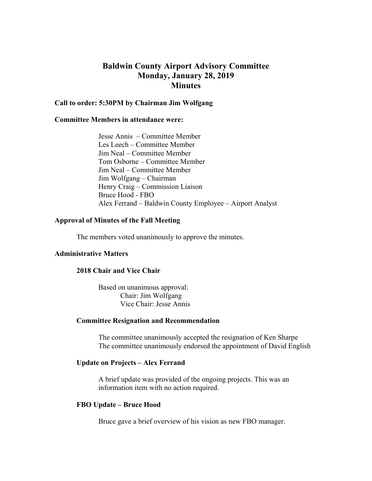# **Baldwin County Airport Advisory Committee Monday, January 28, 2019 Minutes**

## **Call to order: 5:30PM by Chairman Jim Wolfgang**

## **Committee Members in attendance were:**

 Jesse Annis – Committee Member Les Leech – Committee Member Jim Neal – Committee Member Tom Osborne – Committee Member Jim Neal – Committee Member Jim Wolfgang – Chairman Henry Craig – Commission Liaison Bruce Hood - FBO Alex Ferrand – Baldwin County Employee – Airport Analyst

# **Approval of Minutes of the Fall Meeting**

The members voted unanimously to approve the minutes.

## **Administrative Matters**

# **2018 Chair and Vice Chair**

Based on unanimous approval: Chair: Jim Wolfgang Vice Chair: Jesse Annis

#### **Committee Resignation and Recommendation**

 The committee unanimously accepted the resignation of Ken Sharpe The committee unanimously endorsed the appointment of David English

# **Update on Projects – Alex Ferrand**

A brief update was provided of the ongoing projects. This was an information item with no action required.

#### **FBO Update – Bruce Hood**

Bruce gave a brief overview of his vision as new FBO manager.